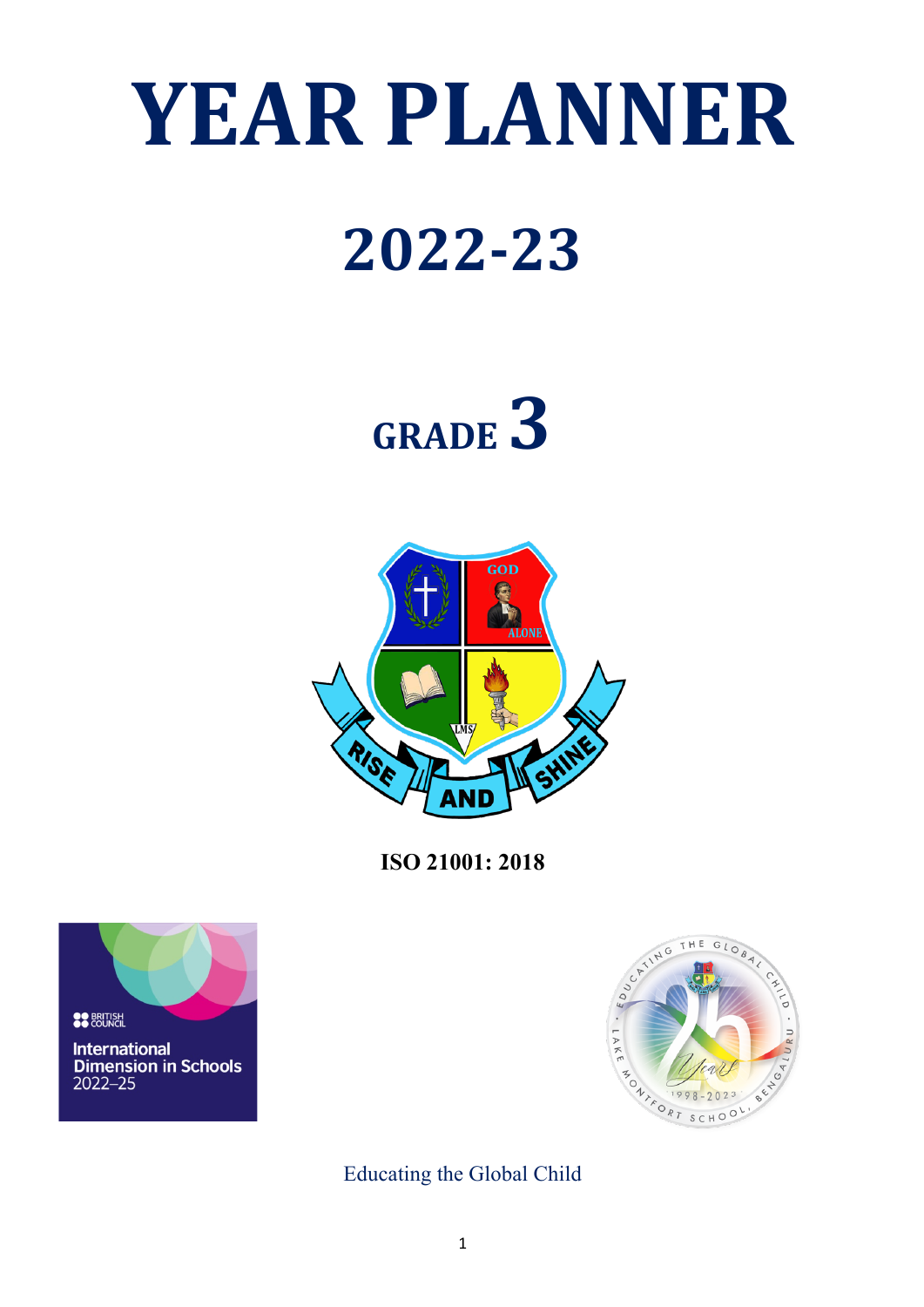# **YEAR PLANNER**

### **2022-23**

## **GRADE 3**



**ISO 21001: 2018**





Educating the Global Child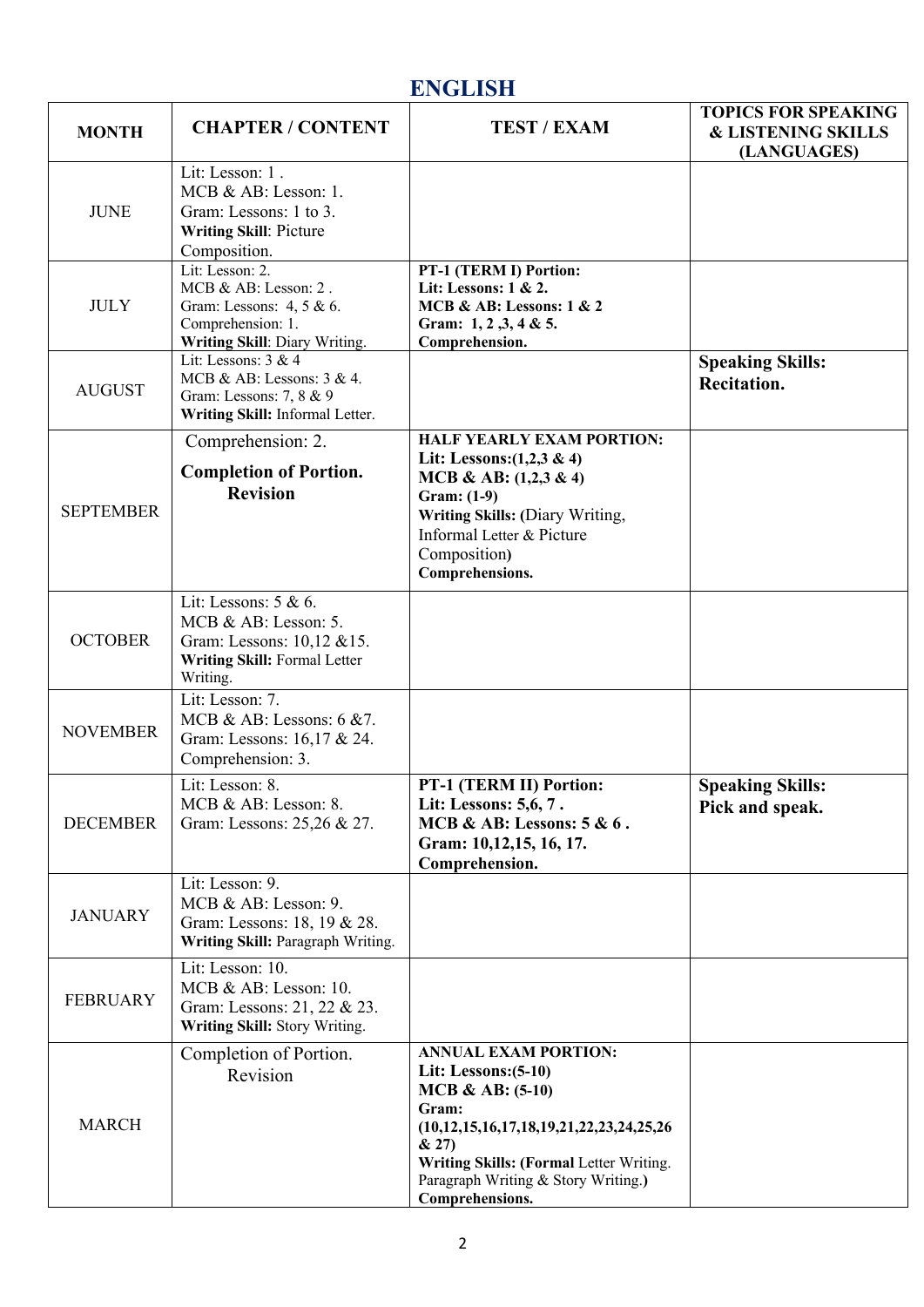#### **ENGLISH**

| <b>MONTH</b>     | <b>CHAPTER / CONTENT</b>                                                                                                  | <b>TEST / EXAM</b>                                                                                                                                                                                                                               | <b>TOPICS FOR SPEAKING</b><br><b>&amp; LISTENING SKILLS</b><br>(LANGUAGES) |
|------------------|---------------------------------------------------------------------------------------------------------------------------|--------------------------------------------------------------------------------------------------------------------------------------------------------------------------------------------------------------------------------------------------|----------------------------------------------------------------------------|
| <b>JUNE</b>      | Lit: Lesson: 1.<br>MCB & AB: Lesson: 1.<br>Gram: Lessons: 1 to 3.<br>Writing Skill: Picture<br>Composition.               |                                                                                                                                                                                                                                                  |                                                                            |
| <b>JULY</b>      | Lit: Lesson: 2.<br>MCB & AB: Lesson: 2.<br>Gram: Lessons: 4, 5 & 6.<br>Comprehension: 1.<br>Writing Skill: Diary Writing. | PT-1 (TERM I) Portion:<br>Lit: Lessons: $1 & 2$ .<br>MCB & AB: Lessons: 1 & 2<br>Gram: $1, 2, 3, 4 & 5$ .<br>Comprehension.                                                                                                                      |                                                                            |
| <b>AUGUST</b>    | Lit: Lessons: 3 & 4<br>MCB & AB: Lessons: $3 & 4$ .<br>Gram: Lessons: 7, 8 & 9<br>Writing Skill: Informal Letter.         |                                                                                                                                                                                                                                                  | <b>Speaking Skills:</b><br>Recitation.                                     |
| <b>SEPTEMBER</b> | Comprehension: 2.<br><b>Completion of Portion.</b><br><b>Revision</b>                                                     | <b>HALF YEARLY EXAM PORTION:</b><br>Lit: Lessons: $(1,2,3 \& 4)$<br>MCB & AB: $(1,2,3 \& 4)$<br>Gram: (1-9)<br>Writing Skills: (Diary Writing,<br>Informal Letter & Picture<br>Composition)<br>Comprehensions.                                   |                                                                            |
| <b>OCTOBER</b>   | Lit: Lessons: 5 & 6.<br>MCB & AB: Lesson: 5.<br>Gram: Lessons: 10,12 & 15.<br>Writing Skill: Formal Letter<br>Writing.    |                                                                                                                                                                                                                                                  |                                                                            |
| <b>NOVEMBER</b>  | Lit: Lesson: 7.<br>MCB & AB: Lessons: $6 \& 7$ .<br>Gram: Lessons: 16,17 & 24.<br>Comprehension: 3.                       |                                                                                                                                                                                                                                                  |                                                                            |
| <b>DECEMBER</b>  | Lit: Lesson: 8.<br>MCB & AB: Lesson: 8.<br>Gram: Lessons: 25,26 & 27.                                                     | PT-1 (TERM II) Portion:<br>Lit: Lessons: 5,6, 7.<br>MCB & AB: Lessons: $5 & 6$ .<br>Gram: 10,12,15, 16, 17.<br>Comprehension.                                                                                                                    | <b>Speaking Skills:</b><br>Pick and speak.                                 |
| <b>JANUARY</b>   | Lit: Lesson: 9.<br>MCB & AB: Lesson: 9.<br>Gram: Lessons: 18, 19 & 28.<br>Writing Skill: Paragraph Writing.               |                                                                                                                                                                                                                                                  |                                                                            |
| <b>FEBRUARY</b>  | Lit: Lesson: 10.<br>MCB & AB: Lesson: 10.<br>Gram: Lessons: 21, 22 & 23.<br>Writing Skill: Story Writing.                 |                                                                                                                                                                                                                                                  |                                                                            |
| <b>MARCH</b>     | Completion of Portion.<br>Revision                                                                                        | <b>ANNUAL EXAM PORTION:</b><br>Lit: Lessons: $(5-10)$<br>$MCB & AB: (5-10)$<br>Gram:<br>$(10,12,15,16,17,18,19,21,22,23,24,25,26)$<br>& 27)<br>Writing Skills: (Formal Letter Writing.<br>Paragraph Writing & Story Writing.)<br>Comprehensions. |                                                                            |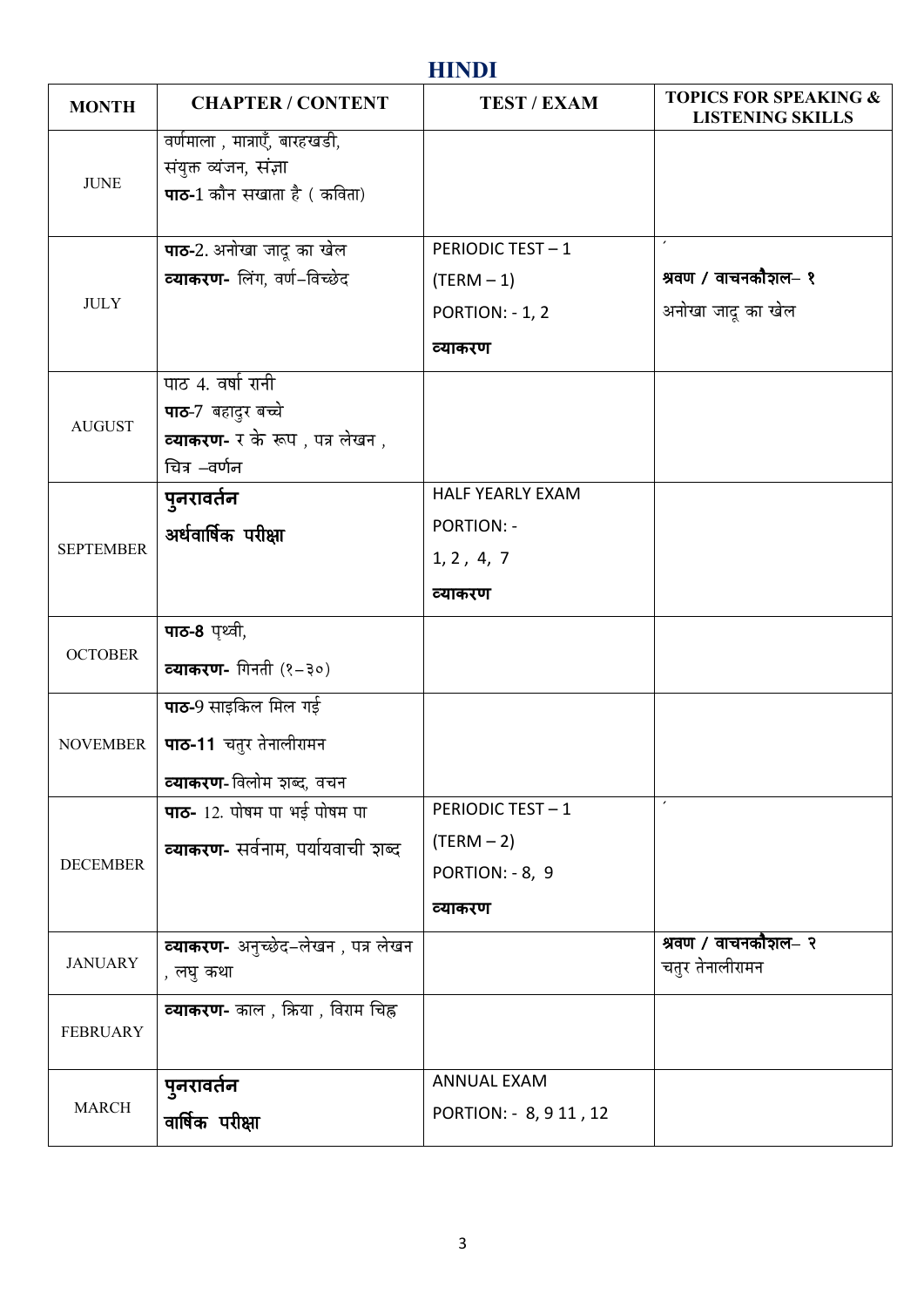#### **HINDI**

| <b>MONTH</b>     | <b>CHAPTER / CONTENT</b>                                                                                  | <b>TEST / EXAM</b>                                                    | <b>TOPICS FOR SPEAKING &amp;</b><br><b>LISTENING SKILLS</b> |
|------------------|-----------------------------------------------------------------------------------------------------------|-----------------------------------------------------------------------|-------------------------------------------------------------|
| <b>JUNE</b>      | वर्णमाला , मात्राएँ, बारहखडी,<br>संयुक्त व्यंजन, संज्ञा<br><b>पाठ-</b> 1 कौन सखाता है ( कविता)            |                                                                       |                                                             |
| <b>JULY</b>      | <b>पाठ-</b> 2. अनोखा जादू का खेल<br><b>व्याकरण-</b> लिंग, वर्ण-विच्छेद                                    | PERIODIC TEST-1<br>$(TERM - 1)$<br>PORTION: - 1, 2<br>व्याकरण         | $\pmb{\cdot}$<br>श्रवण / वाचनकौशल– १<br>अनोखा जादू का खेल   |
| <b>AUGUST</b>    | पाठ 4. वर्षा रानी<br><b>पाठ</b> -7 बहादुर बच्चे<br><b>व्याकरण-</b> र के रूप , पत्र लेखन ,<br>चित्र –वर्णन |                                                                       |                                                             |
| <b>SEPTEMBER</b> | पुनरावर्तन<br>अर्धवार्षिक परीक्षा                                                                         | <b>HALF YEARLY EXAM</b><br><b>PORTION: -</b><br>1, 2, 4, 7<br>व्याकरण |                                                             |
| <b>OCTOBER</b>   | <b>पाठ-8</b> पृथ्वी,<br><b>व्याकरण-</b> गिनती (१-३०)                                                      |                                                                       |                                                             |
| <b>NOVEMBER</b>  | <b>पाठ-</b> 9 साइकिल मिल गई<br><b>पाठ-11</b> चतुर तेनालीरामन<br><b>व्याकरण-</b> विलोम शब्द, वचन           |                                                                       |                                                             |
| <b>DECEMBER</b>  | <b>पाठ-</b> 12. पोषम पा भई पोषम पा<br><b>व्याकरण-</b> सर्वनाम, पर्यायवाची शब्द                            | PERIODIC TEST-1<br>$(TERM - 2)$<br>PORTION: - 8, 9<br>व्याकरण         | $\pmb{\cdot}$                                               |
| <b>JANUARY</b>   | <b>व्याकरण-</b> अनुच्छेद–लेखन , पत्र लेखन<br>, लघु कथा                                                    |                                                                       | श्रवण / वाचनकौशल– २<br>चतुर तेनालीरामन                      |
| <b>FEBRUARY</b>  | <b>व्याकरण-</b> काल , क्रिया , विराम चिह्न                                                                |                                                                       |                                                             |
| <b>MARCH</b>     | पुनरावर्तन<br>वार्षिक परीक्षा                                                                             | <b>ANNUAL EXAM</b><br>PORTION: - 8, 9 11, 12                          |                                                             |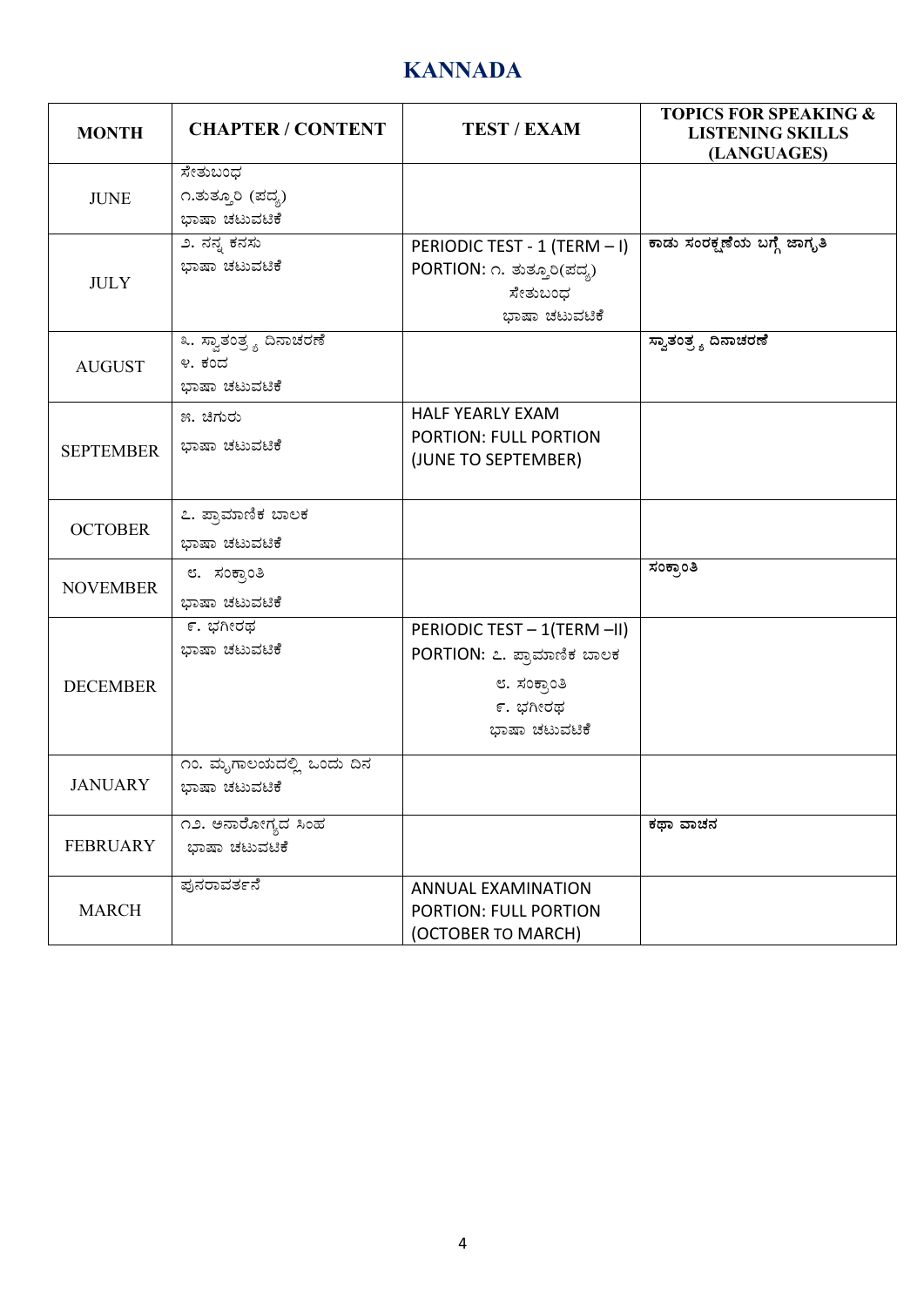#### **KANNADA**

| <b>MONTH</b>     | <b>CHAPTER / CONTENT</b>          | <b>TEST / EXAM</b>                                         | <b>TOPICS FOR SPEAKING &amp;</b><br><b>LISTENING SKILLS</b><br>(LANGUAGES) |
|------------------|-----------------------------------|------------------------------------------------------------|----------------------------------------------------------------------------|
| <b>JUNE</b>      | ಸೇತುಬಂಧ<br>೧.ತುತ್ತೂರಿ (ಪದ್ಯ)      |                                                            |                                                                            |
|                  | ಭಾಷಾ ಚಟುವಟಿಕೆ<br>೨. ನನ್ನ ಕನಸು     |                                                            |                                                                            |
|                  | ಭಾಷಾ ಚಟುವಟಿಕೆ                     | PERIODIC TEST - 1 (TERM - I)<br>PORTION: ೧. ತುತ್ತೂರಿ(ಪದ್ಯ) | ಕಾಡು ಸಂರಕ್ಷಣೆಯ ಬಗ್ಗೆ ಜಾಗೃತಿ                                                |
| <b>JULY</b>      |                                   | ಸೇತುಬಂಧ                                                    |                                                                            |
|                  |                                   | ಭಾಷಾ ಚಟುವಟಿಕೆ                                              |                                                                            |
|                  | ೩. ಸ್ವಾತಂತ್ರ್ಯ ದಿನಾಚರಣೆ<br>೪. ಕಂದ |                                                            | ಸ್ವಾತಂತ್ರ್ಯ ದಿನಾಚರಣೆ                                                       |
| <b>AUGUST</b>    | ಭಾಷಾ ಚಟುವಟಿಕೆ                     |                                                            |                                                                            |
|                  | ೫. ಚಿಗುರು                         | <b>HALF YEARLY EXAM</b>                                    |                                                                            |
| <b>SEPTEMBER</b> | ಭಾಷಾ ಚಟುವಟಿಕೆ                     | <b>PORTION: FULL PORTION</b><br>(JUNE TO SEPTEMBER)        |                                                                            |
|                  |                                   |                                                            |                                                                            |
|                  | ೭. ಪ್ರಾಮಾಣಿಕ ಬಾಲಕ                 |                                                            |                                                                            |
| <b>OCTOBER</b>   | ಭಾಷಾ ಚಟುವಟಿಕೆ                     |                                                            |                                                                            |
| <b>NOVEMBER</b>  | ೮. ಸಂಕ್ರಾಂತಿ                      |                                                            | ಸಂಕ್ಷಾಂತಿ                                                                  |
|                  | ಭಾಷಾ ಚಟುವಟಿಕೆ                     |                                                            |                                                                            |
|                  | ೯. ಭಗೀರಥ                          | PERIODIC TEST - 1(TERM -II)                                |                                                                            |
|                  | ಭಾಷಾ ಚಟುವಟಿಕೆ                     | PORTION: ೭. ಪ್ರಾಮಾಣಿಕ ಬಾಲಕ                                 |                                                                            |
| <b>DECEMBER</b>  |                                   | ೮. ಸಂಕ್ರಾಂತಿ                                               |                                                                            |
|                  |                                   | ೯. ಭಗೀರಥ                                                   |                                                                            |
|                  |                                   | ಭಾಷಾ ಚಟುವಟಿಕೆ                                              |                                                                            |
|                  | ೧೦. ಮೃಗಾಲಯದಲ್ಲಿ ಒಂದು ದಿನ          |                                                            |                                                                            |
| <b>JANUARY</b>   | ಭಾಷಾ ಚಟುವಟಿಕೆ                     |                                                            |                                                                            |
|                  | ೧೨. ಅನಾರೋಗ್ಯದ ಸಿಂಹ                |                                                            | ಕಥಾ ವಾಚನ                                                                   |
| <b>FEBRUARY</b>  | ಭಾಷಾ ಚಟುವಟಿಕೆ                     |                                                            |                                                                            |
|                  | ಫುನರಾವರ್ತನೆ                       | <b>ANNUAL EXAMINATION</b>                                  |                                                                            |
| <b>MARCH</b>     |                                   | <b>PORTION: FULL PORTION</b>                               |                                                                            |
|                  |                                   | (OCTOBER TO MARCH)                                         |                                                                            |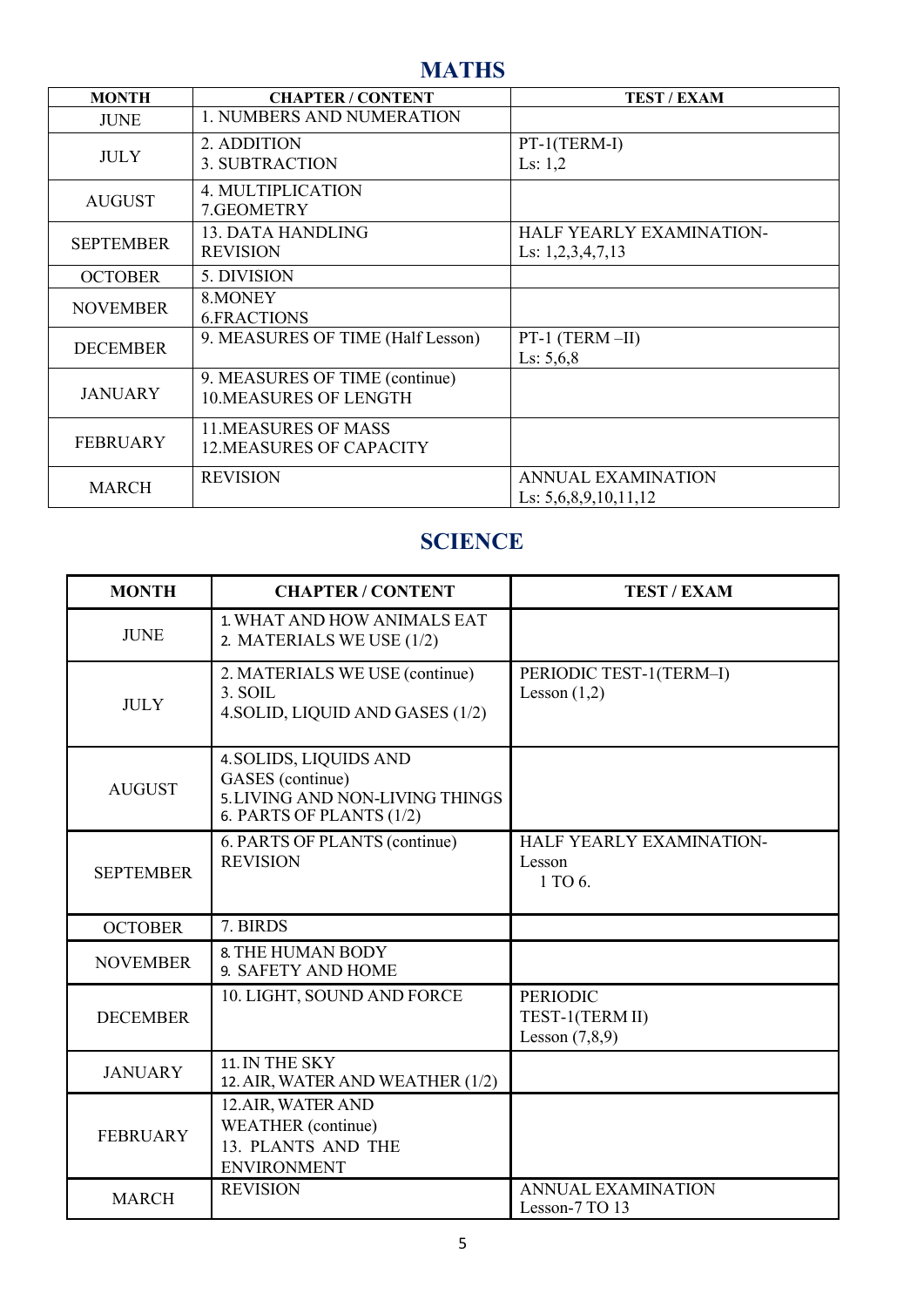#### **MATHS**

| <b>MONTH</b>     | <b>CHAPTER / CONTENT</b>          | <b>TEST / EXAM</b>              |
|------------------|-----------------------------------|---------------------------------|
| <b>JUNE</b>      | <b>1. NUMBERS AND NUMERATION</b>  |                                 |
| <b>JULY</b>      | 2. ADDITION                       | PT-1(TERM-I)                    |
|                  | <b>3. SUBTRACTION</b>             | Ls: $1,2$                       |
| <b>AUGUST</b>    | <b>4. MULTIPLICATION</b>          |                                 |
|                  | 7.GEOMETRY                        |                                 |
| <b>SEPTEMBER</b> | 13. DATA HANDLING                 | <b>HALF YEARLY EXAMINATION-</b> |
|                  | <b>REVISION</b>                   | Ls: $1,2,3,4,7,13$              |
| <b>OCTOBER</b>   | 5. DIVISION                       |                                 |
| <b>NOVEMBER</b>  | 8. MONEY                          |                                 |
|                  | <b>6.FRACTIONS</b>                |                                 |
| <b>DECEMBER</b>  | 9. MEASURES OF TIME (Half Lesson) | PT-1 (TERM-II)                  |
|                  |                                   | Ls: $5,6,8$                     |
|                  | 9. MEASURES OF TIME (continue)    |                                 |
| <b>JANUARY</b>   | <b>10.MEASURES OF LENGTH</b>      |                                 |
|                  | <b>11.MEASURES OF MASS</b>        |                                 |
| <b>FEBRUARY</b>  | <b>12.MEASURES OF CAPACITY</b>    |                                 |
| <b>MARCH</b>     | <b>REVISION</b>                   | <b>ANNUAL EXAMINATION</b>       |
|                  |                                   | Ls: $5,6,8,9,10,11,12$          |

#### **SCIENCE**

| <b>MONTH</b>     | <b>CHAPTER / CONTENT</b>                                                                                  | <b>TEST / EXAM</b>                                     |
|------------------|-----------------------------------------------------------------------------------------------------------|--------------------------------------------------------|
| <b>JUNE</b>      | 1. WHAT AND HOW ANIMALS EAT<br>2. MATERIALS WE USE (1/2)                                                  |                                                        |
| <b>JULY</b>      | 2. MATERIALS WE USE (continue)<br>3. SOIL<br>4. SOLID, LIQUID AND GASES (1/2)                             | PERIODIC TEST-1(TERM-I)<br>Lesson $(1,2)$              |
| <b>AUGUST</b>    | 4. SOLIDS, LIQUIDS AND<br>GASES (continue)<br>5. LIVING AND NON-LIVING THINGS<br>6. PARTS OF PLANTS (1/2) |                                                        |
| <b>SEPTEMBER</b> | 6. PARTS OF PLANTS (continue)<br><b>REVISION</b>                                                          | <b>HALF YEARLY EXAMINATION-</b><br>Lesson<br>1 TO 6.   |
| <b>OCTOBER</b>   | 7. BIRDS                                                                                                  |                                                        |
| <b>NOVEMBER</b>  | <b>8. THE HUMAN BODY</b><br>9. SAFETY AND HOME                                                            |                                                        |
| <b>DECEMBER</b>  | 10. LIGHT, SOUND AND FORCE                                                                                | <b>PERIODIC</b><br>TEST-1(TERM II)<br>Lesson $(7,8,9)$ |
| <b>JANUARY</b>   | 11. IN THE SKY<br>12. AIR, WATER AND WEATHER (1/2)                                                        |                                                        |
| <b>FEBRUARY</b>  | 12.AIR, WATER AND<br>WEATHER (continue)<br>13. PLANTS AND THE<br><b>ENVIRONMENT</b>                       |                                                        |
| <b>MARCH</b>     | <b>REVISION</b>                                                                                           | <b>ANNUAL EXAMINATION</b><br>Lesson-7 TO 13            |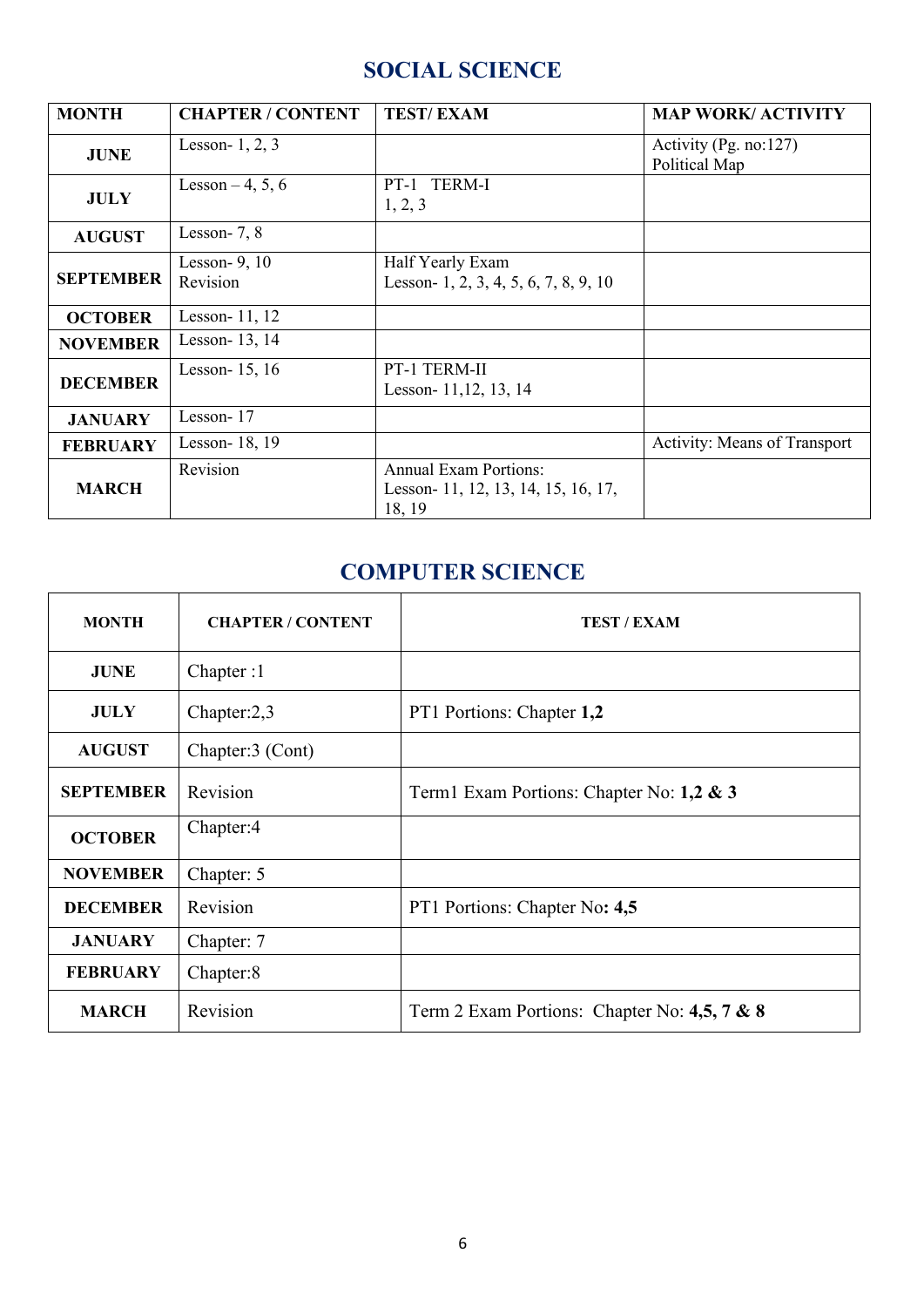#### **SOCIAL SCIENCE**

| <b>MONTH</b>     | <b>CHAPTER / CONTENT</b>    | <b>TEST/EXAM</b>                                                              | <b>MAP WORK/ ACTIVITY</b>                  |
|------------------|-----------------------------|-------------------------------------------------------------------------------|--------------------------------------------|
| <b>JUNE</b>      | Lesson- $1, 2, 3$           |                                                                               | Activity (Pg. no: $127$ )<br>Political Map |
| <b>JULY</b>      | Lesson $-4, 5, 6$           | PT-1 TERM-I<br>1, 2, 3                                                        |                                            |
| <b>AUGUST</b>    | Lesson- $7, 8$              |                                                                               |                                            |
| <b>SEPTEMBER</b> | Lesson- $9, 10$<br>Revision | Half Yearly Exam<br>Lesson- 1, 2, 3, 4, 5, 6, 7, 8, 9, 10                     |                                            |
| <b>OCTOBER</b>   | Lesson-11, 12               |                                                                               |                                            |
| <b>NOVEMBER</b>  | Lesson-13, 14               |                                                                               |                                            |
| <b>DECEMBER</b>  | Lesson-15, 16               | PT-1 TERM-II<br>Lesson- 11,12, 13, 14                                         |                                            |
| <b>JANUARY</b>   | Lesson-17                   |                                                                               |                                            |
| <b>FEBRUARY</b>  | Lesson-18, 19               |                                                                               | <b>Activity: Means of Transport</b>        |
| <b>MARCH</b>     | Revision                    | <b>Annual Exam Portions:</b><br>Lesson- 11, 12, 13, 14, 15, 16, 17,<br>18, 19 |                                            |

#### **COMPUTER SCIENCE**

| <b>MONTH</b>     | <b>CHAPTER / CONTENT</b> | <b>TEST / EXAM</b>                           |
|------------------|--------------------------|----------------------------------------------|
| <b>JUNE</b>      | Chapter:1                |                                              |
| <b>JULY</b>      | Chapter:2,3              | PT1 Portions: Chapter 1,2                    |
| <b>AUGUST</b>    | Chapter:3 (Cont)         |                                              |
| <b>SEPTEMBER</b> | Revision                 | Term1 Exam Portions: Chapter No: 1,2 & 3     |
| <b>OCTOBER</b>   | Chapter:4                |                                              |
| <b>NOVEMBER</b>  | Chapter: 5               |                                              |
| <b>DECEMBER</b>  | Revision                 | PT1 Portions: Chapter No: 4,5                |
| <b>JANUARY</b>   | Chapter: 7               |                                              |
| <b>FEBRUARY</b>  | Chapter:8                |                                              |
| <b>MARCH</b>     | Revision                 | Term 2 Exam Portions: Chapter No: 4,5, 7 & 8 |